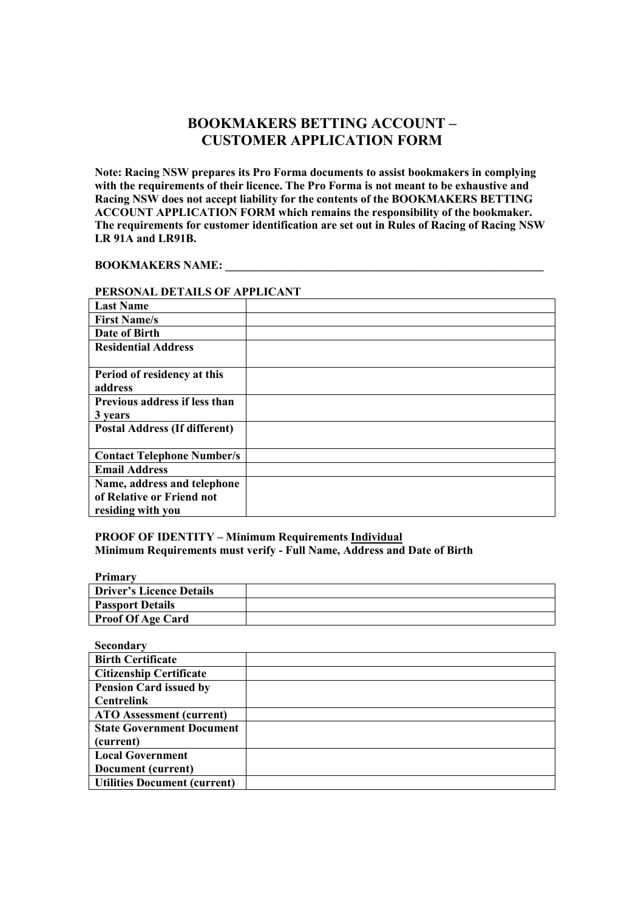# **BOOKMAKERS BETTIG ACCOUT – CUSTOMER APPLICATIO FORM**

Note: Racing NSW prepares its Pro Forma documents to assist bookmakers in complying **with the requirements of their licence. The Pro Forma is not meant to be exhaustive and**  Racing NSW does not accept liability for the contents of the BOOKMAKERS BETTING **ACCOUT APPLICATIO FORM which remains the responsibility of the bookmaker. The requirements for customer identification are set out in Rules of Racing of Racing SW LR 91A and LR91B.** 

#### **BOOKMAKERS NAME:**

### **PERSOAL DETAILS OF APPLICAT**

| <b>Last Name</b>                     |  |
|--------------------------------------|--|
| <b>First Name/s</b>                  |  |
| Date of Birth                        |  |
| <b>Residential Address</b>           |  |
|                                      |  |
| Period of residency at this          |  |
| address                              |  |
| Previous address if less than        |  |
| 3 years                              |  |
| <b>Postal Address (If different)</b> |  |
|                                      |  |
| <b>Contact Telephone Number/s</b>    |  |
| <b>Email Address</b>                 |  |
| Name, address and telephone          |  |
| of Relative or Friend not            |  |
| residing with you                    |  |

#### **PROOF OF IDETITY – Minimum Requirements Individual** Minimum Requirements must verify - Full Name, Address and Date of Birth

**Primary** 

| <b>Driver's Licence Details</b> |  |
|---------------------------------|--|
| <b>Passport Details</b>         |  |
| <b>Proof Of Age Card</b>        |  |

**Secondary** 

| <b>Birth Certificate</b>            |  |
|-------------------------------------|--|
| <b>Citizenship Certificate</b>      |  |
| <b>Pension Card issued by</b>       |  |
| <b>Centrelink</b>                   |  |
| <b>ATO</b> Assessment (current)     |  |
| <b>State Government Document</b>    |  |
| (current)                           |  |
| <b>Local Government</b>             |  |
| Document (current)                  |  |
| <b>Utilities Document (current)</b> |  |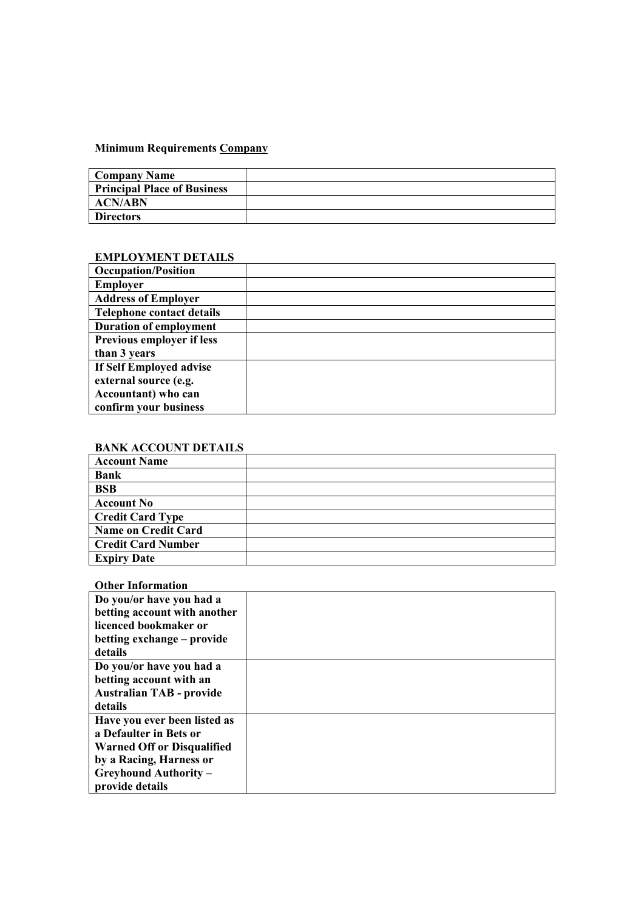# **Minimum Requirements Company**

| <b>Company Name</b>                |  |
|------------------------------------|--|
| <b>Principal Place of Business</b> |  |
| <b>ACN/ABN</b>                     |  |
| <b>Directors</b>                   |  |

### **EMPLOYMET DETAILS**

| <b>Occupation/Position</b>       |  |
|----------------------------------|--|
| <b>Employer</b>                  |  |
| <b>Address of Employer</b>       |  |
| <b>Telephone contact details</b> |  |
| <b>Duration of employment</b>    |  |
| Previous employer if less        |  |
| than 3 years                     |  |
| If Self Employed advise          |  |
| external source (e.g.            |  |
| Accountant) who can              |  |
| confirm your business            |  |

# **BAK ACCOUT DETAILS**

| <b>Account Name</b>       |  |
|---------------------------|--|
| <b>Bank</b>               |  |
| <b>BSB</b>                |  |
| <b>Account No</b>         |  |
| <b>Credit Card Type</b>   |  |
| Name on Credit Card       |  |
| <b>Credit Card Number</b> |  |
| <b>Expiry Date</b>        |  |

## **Other Information**

| Do you/or have you had a          |  |
|-----------------------------------|--|
| betting account with another      |  |
| licenced bookmaker or             |  |
| betting exchange – provide        |  |
| details                           |  |
| Do you/or have you had a          |  |
| betting account with an           |  |
| <b>Australian TAB - provide</b>   |  |
| details                           |  |
| Have you ever been listed as      |  |
| a Defaulter in Bets or            |  |
| <b>Warned Off or Disqualified</b> |  |
| by a Racing, Harness or           |  |
| <b>Greyhound Authority -</b>      |  |
| provide details                   |  |